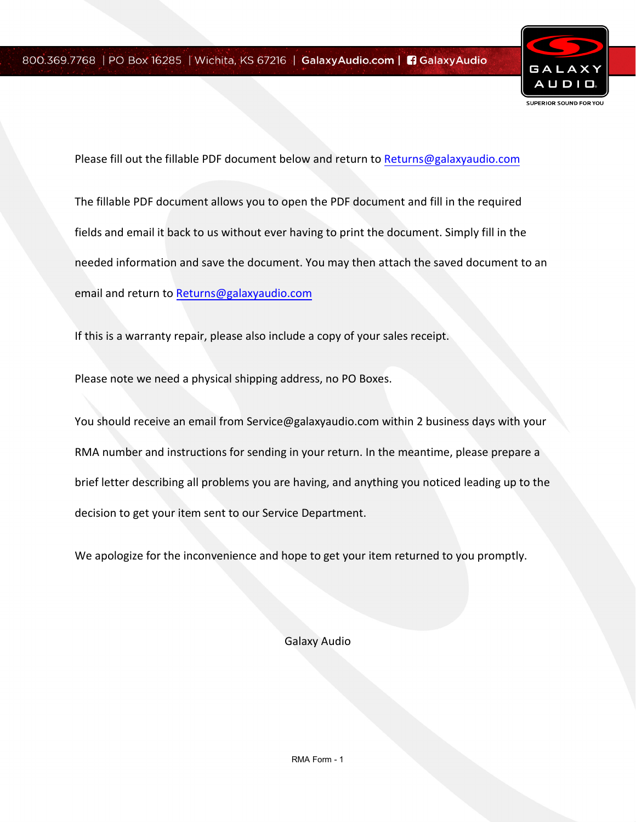

Please fill out the fillable PDF document below and return to [Returns@galaxyaudio.com](mailto:Returns@galaxyaudio.com) The fillable PDF document allows you to open the PDF document and fill in the required fields and email it back to us without ever having to print the document. Simply fill in the needed information and save the document. You may then attach the saved document to an email and return to [Returns@galaxyaudio.com](mailto:Returns@galaxyaudio.com)

If this is a warranty repair, please also include a copy of your sales receipt.

Please note we need a physical shipping address, no PO Boxes.

You should receive an email from Service@galaxyaudio.com within 2 business days with your RMA number and instructions for sending in your return. In the meantime, please prepare a brief letter describing all problems you are having, and anything you noticed leading up to the decision to get your item sent to our Service Department.

We apologize for the inconvenience and hope to get your item returned to you promptly.

Galaxy Audio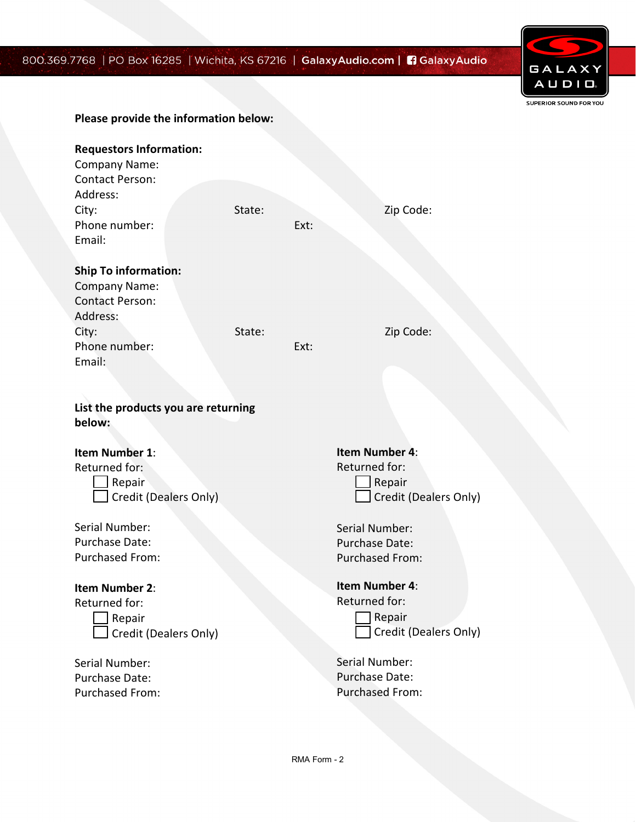## 800.369.7



|                                                                                         |        |      | 768   PO Box 16285   Wichita, KS 67216   <b>GalaxyAudio.com   El GalaxyAudio</b> |  |
|-----------------------------------------------------------------------------------------|--------|------|----------------------------------------------------------------------------------|--|
|                                                                                         |        |      |                                                                                  |  |
| Please provide the information below:                                                   |        |      |                                                                                  |  |
| <b>Requestors Information:</b><br>Company Name:<br>Contact Person:<br>Address:<br>City: | State: |      | Zip Code:                                                                        |  |
| Phone number:<br>Email:                                                                 |        | Ext: |                                                                                  |  |
| <b>Ship To information:</b><br>Company Name:<br><b>Contact Person:</b><br>Address:      |        |      |                                                                                  |  |
| City:<br>Phone number:<br>Email:                                                        | State: | Ext: | Zip Code:                                                                        |  |
| List the products you are returning<br>below:                                           |        |      |                                                                                  |  |
| <b>Item Number 1:</b><br>Returned for:<br>Repair<br>Credit (Dealers Only)               |        |      | Item Number 4:<br>Returned for:<br>Repair<br>Credit (Dealers Only)               |  |
| Serial Number:<br>Purchase Date:<br>Purchased From:                                     |        |      | Serial Number:<br>Purchase Date:<br><b>Purchased From:</b>                       |  |
| <b>Item Number 2:</b><br>Returned for:<br>Repair<br>Credit (Dealers Only)               |        |      | Item Number 4:<br>Returned for:<br>Repair<br>Credit (Dealers Only)               |  |
| Serial Number:<br>Purchase Date:<br>Purchased From:                                     |        |      | Serial Number:<br>Purchase Date:<br><b>Purchased From:</b>                       |  |
|                                                                                         |        |      |                                                                                  |  |